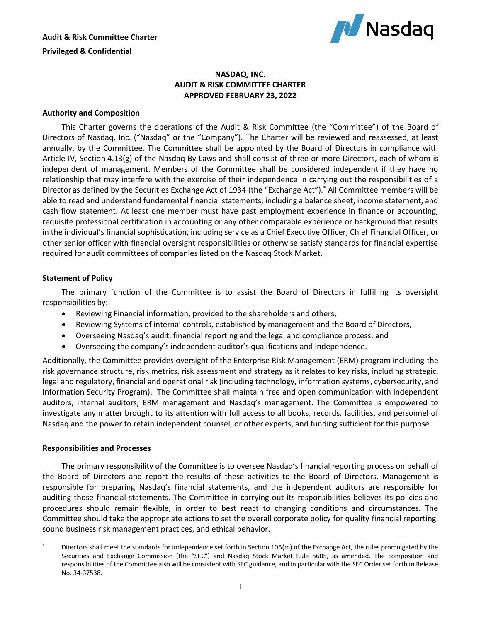

# **NASDAQ, INC. AUDIT & RISK COMMITTEE CHARTER APPROVED FEBRUARY 23, 2022**

# **Authority and Composition**

This Charter governs the operations of the Audit & Risk Committee (the "Committee") of the Board of Directors of Nasdaq, Inc. ("Nasdaq" or the "Company"). The Charter will be reviewed and reassessed, at least annually, by the Committee. The Committee shall be appointed by the Board of Directors in compliance with Article IV, Section 4.13(g) of the Nasdaq By-Laws and shall consist of three or more Directors, each of whom is independent of management. Members of the Committee shall be considered independent if they have no relationship that may interfere with the exercise of their independence in carrying out the responsibilities of a Director as defined by the Securities Exchange Act of 1934 (the "Exchange Act"). \* All Committee members will be able to read and understand fundamental financial statements, including a balance sheet, income statement, and cash flow statement. At least one member must have past employment experience in finance or accounting, requisite professional certification in accounting or any other comparable experience or background that results in the individual's financial sophistication, including service as a Chief Executive Officer, Chief Financial Officer, or other senior officer with financial oversight responsibilities or otherwise satisfy standards for financial expertise required for audit committees of companies listed on the Nasdaq Stock Market.

# **Statement of Policy**

The primary function of the Committee is to assist the Board of Directors in fulfilling its oversight responsibilities by:

- Reviewing Financial information, provided to the shareholders and others,
- Reviewing Systems of internal controls, established by management and the Board of Directors,
- Overseeing Nasdaq's audit, financial reporting and the legal and compliance process, and
- Overseeing the company's independent auditor's qualifications and independence.

Additionally, the Committee provides oversight of the Enterprise Risk Management (ERM) program including the risk governance structure, risk metrics, risk assessment and strategy as it relates to key risks, including strategic, legal and regulatory, financial and operational risk (including technology, information systems, cybersecurity, and Information Security Program). The Committee shall maintain free and open communication with independent auditors, internal auditors, ERM management and Nasdaq's management. The Committee is empowered to investigate any matter brought to its attention with full access to all books, records, facilities, and personnel of Nasdaq and the power to retain independent counsel, or other experts, and funding sufficient for this purpose.

#### **Responsibilities and Processes**

The primary responsibility of the Committee is to oversee Nasdaq's financial reporting process on behalf of the Board of Directors and report the results of these activities to the Board of Directors. Management is responsible for preparing Nasdaq's financial statements, and the independent auditors are responsible for auditing those financial statements. The Committee in carrying out its responsibilities believes its policies and procedures should remain flexible, in order to best react to changing conditions and circumstances. The Committee should take the appropriate actions to set the overall corporate policy for quality financial reporting, sound business risk management practices, and ethical behavior.

Directors shall meet the standards for independence set forth in Section 10A(m) of the Exchange Act, the rules promulgated by the Securities and Exchange Commission (the "SEC") and Nasdaq Stock Market Rule 5605, as amended. The composition and responsibilities of the Committee also will be consistent with SEC guidance, and in particular with the SEC Order set forth in Release No. 34-37538.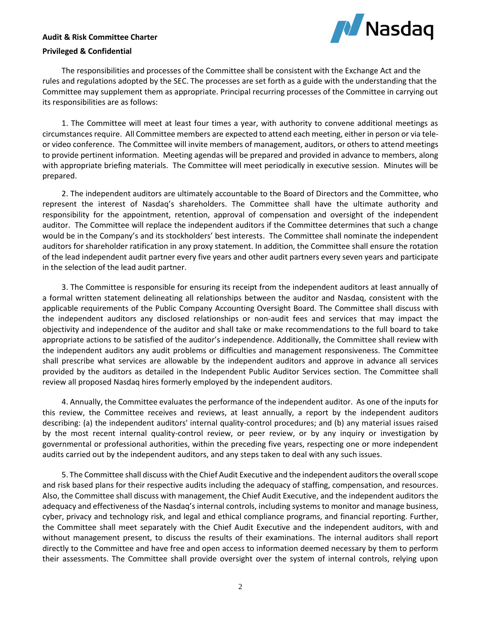# **M** Nasdaq

# **Audit & Risk Committee Charter**

## **Privileged & Confidential**

The responsibilities and processes of the Committee shall be consistent with the Exchange Act and the rules and regulations adopted by the SEC. The processes are set forth as a guide with the understanding that the Committee may supplement them as appropriate. Principal recurring processes of the Committee in carrying out its responsibilities are as follows:

1. The Committee will meet at least four times a year, with authority to convene additional meetings as circumstances require. All Committee members are expected to attend each meeting, either in person or via teleor video conference. The Committee will invite members of management, auditors, or others to attend meetings to provide pertinent information. Meeting agendas will be prepared and provided in advance to members, along with appropriate briefing materials. The Committee will meet periodically in executive session. Minutes will be prepared.

2. The independent auditors are ultimately accountable to the Board of Directors and the Committee, who represent the interest of Nasdaq's shareholders. The Committee shall have the ultimate authority and responsibility for the appointment, retention, approval of compensation and oversight of the independent auditor. The Committee will replace the independent auditors if the Committee determines that such a change would be in the Company's and its stockholders' best interests. The Committee shall nominate the independent auditors for shareholder ratification in any proxy statement. In addition, the Committee shall ensure the rotation of the lead independent audit partner every five years and other audit partners every seven years and participate in the selection of the lead audit partner.

3. The Committee is responsible for ensuring its receipt from the independent auditors at least annually of a formal written statement delineating all relationships between the auditor and Nasdaq, consistent with the applicable requirements of the Public Company Accounting Oversight Board. The Committee shall discuss with the independent auditors any disclosed relationships or non-audit fees and services that may impact the objectivity and independence of the auditor and shall take or make recommendations to the full board to take appropriate actions to be satisfied of the auditor's independence. Additionally, the Committee shall review with the independent auditors any audit problems or difficulties and management responsiveness. The Committee shall prescribe what services are allowable by the independent auditors and approve in advance all services provided by the auditors as detailed in the Independent Public Auditor Services section. The Committee shall review all proposed Nasdaq hires formerly employed by the independent auditors.

4. Annually, the Committee evaluates the performance of the independent auditor. As one of the inputs for this review, the Committee receives and reviews, at least annually, a report by the independent auditors describing: (a) the independent auditors' internal quality-control procedures; and (b) any material issues raised by the most recent internal quality-control review, or peer review, or by any inquiry or investigation by governmental or professional authorities, within the preceding five years, respecting one or more independent audits carried out by the independent auditors, and any steps taken to deal with any such issues.

5. The Committee shall discuss with the Chief Audit Executive and the independent auditors the overall scope and risk based plans for their respective audits including the adequacy of staffing, compensation, and resources. Also, the Committee shall discuss with management, the Chief Audit Executive, and the independent auditors the adequacy and effectiveness of the Nasdaq's internal controls, including systems to monitor and manage business, cyber, privacy and technology risk, and legal and ethical compliance programs, and financial reporting. Further, the Committee shall meet separately with the Chief Audit Executive and the independent auditors, with and without management present, to discuss the results of their examinations. The internal auditors shall report directly to the Committee and have free and open access to information deemed necessary by them to perform their assessments. The Committee shall provide oversight over the system of internal controls, relying upon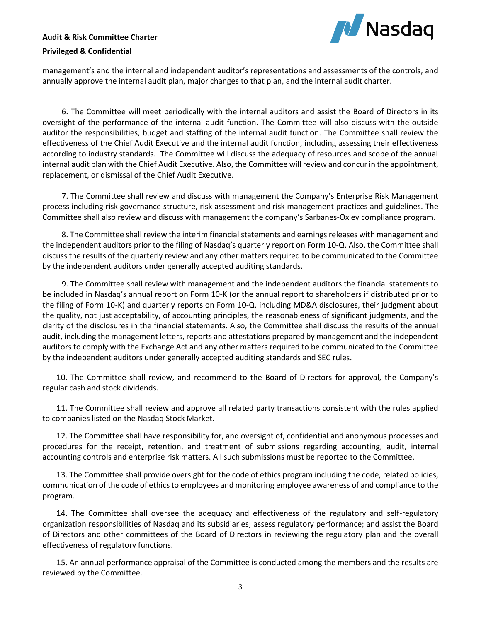# **Audit & Risk Committee Charter**



## **Privileged & Confidential**

management's and the internal and independent auditor's representations and assessments of the controls, and annually approve the internal audit plan, major changes to that plan, and the internal audit charter.

6. The Committee will meet periodically with the internal auditors and assist the Board of Directors in its oversight of the performance of the internal audit function. The Committee will also discuss with the outside auditor the responsibilities, budget and staffing of the internal audit function. The Committee shall review the effectiveness of the Chief Audit Executive and the internal audit function, including assessing their effectiveness according to industry standards. The Committee will discuss the adequacy of resources and scope of the annual internal audit plan with the Chief Audit Executive. Also, the Committee will review and concur in the appointment, replacement, or dismissal of the Chief Audit Executive.

7. The Committee shall review and discuss with management the Company's Enterprise Risk Management process including risk governance structure, risk assessment and risk management practices and guidelines. The Committee shall also review and discuss with management the company's Sarbanes-Oxley compliance program.

8. The Committee shall review the interim financial statements and earnings releases with management and the independent auditors prior to the filing of Nasdaq's quarterly report on Form 10-Q. Also, the Committee shall discuss the results of the quarterly review and any other matters required to be communicated to the Committee by the independent auditors under generally accepted auditing standards.

9. The Committee shall review with management and the independent auditors the financial statements to be included in Nasdaq's annual report on Form 10-K (or the annual report to shareholders if distributed prior to the filing of Form 10-K) and quarterly reports on Form 10-Q, including MD&A disclosures, their judgment about the quality, not just acceptability, of accounting principles, the reasonableness of significant judgments, and the clarity of the disclosures in the financial statements. Also, the Committee shall discuss the results of the annual audit, including the management letters, reports and attestations prepared by management and the independent auditors to comply with the Exchange Act and any other matters required to be communicated to the Committee by the independent auditors under generally accepted auditing standards and SEC rules.

10. The Committee shall review, and recommend to the Board of Directors for approval, the Company's regular cash and stock dividends.

11. The Committee shall review and approve all related party transactions consistent with the rules applied to companies listed on the Nasdaq Stock Market.

12. The Committee shall have responsibility for, and oversight of, confidential and anonymous processes and procedures for the receipt, retention, and treatment of submissions regarding accounting, audit, internal accounting controls and enterprise risk matters. All such submissions must be reported to the Committee.

13. The Committee shall provide oversight for the code of ethics program including the code, related policies, communication of the code of ethics to employees and monitoring employee awareness of and compliance to the program.

14. The Committee shall oversee the adequacy and effectiveness of the regulatory and self-regulatory organization responsibilities of Nasdaq and its subsidiaries; assess regulatory performance; and assist the Board of Directors and other committees of the Board of Directors in reviewing the regulatory plan and the overall effectiveness of regulatory functions.

15. An annual performance appraisal of the Committee is conducted among the members and the results are reviewed by the Committee.